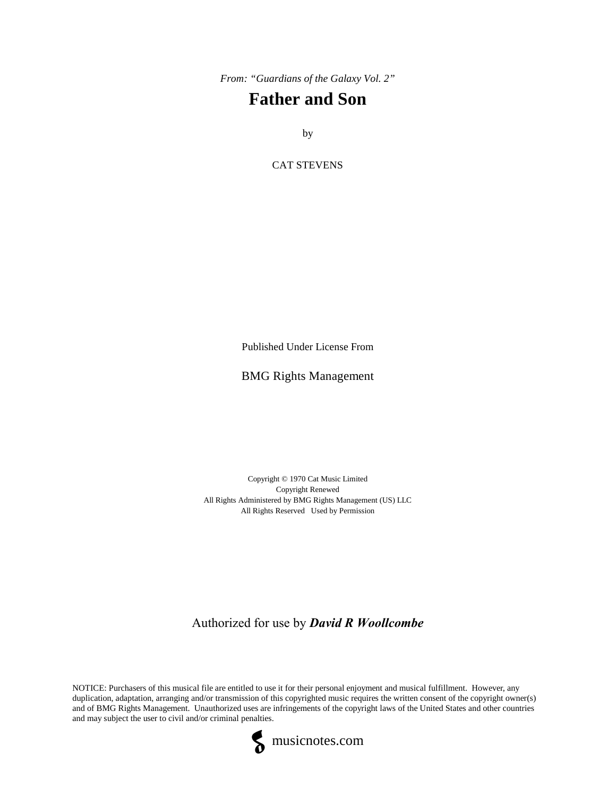*From: "Guardians of the Galaxy Vol. 2"*

## **Father and Son**

by

CAT STEVENS

Published Under License From

## BMG Rights Management

Copyright © 1970 Cat Music Limited Copyright Renewed All Rights Administered by BMG Rights Management (US) LLC All Rights Reserved Used by Permission

## Authorized for use by *David R Woollcombe*

NOTICE: Purchasers of this musical file are entitled to use it for their personal enjoyment and musical fulfillment. However, any duplication, adaptation, arranging and/or transmission of this copyrighted music requires the written consent of the copyright owner(s) and of BMG Rights Management. Unauthorized uses are infringements of the copyright laws of the United States and other countries and may subject the user to civil and/or criminal penalties.

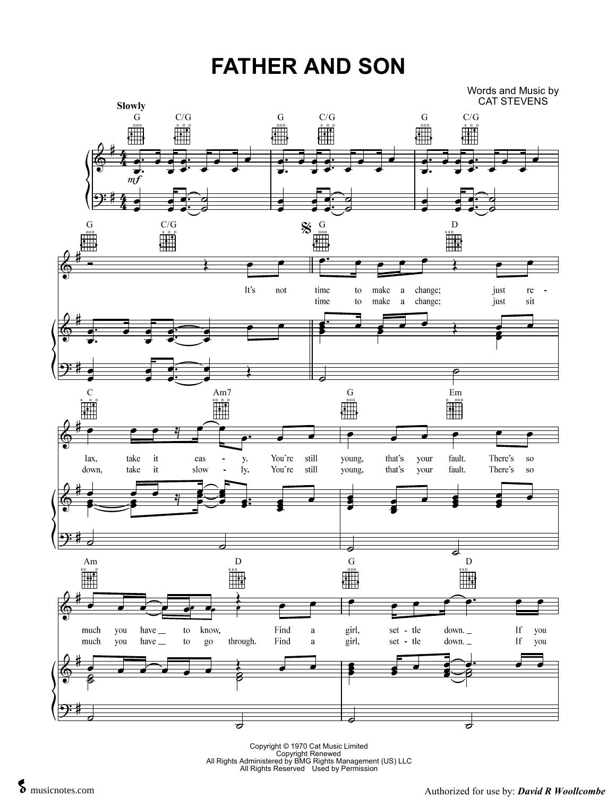## **FATHER AND SON**

Words and Music by CAT STEVENS



Copyright © 1970 Cat Music Limited Copyright Renewed All Rights Administered by BMG Rights Management (US) LLC All Rights Reserved Used by Permission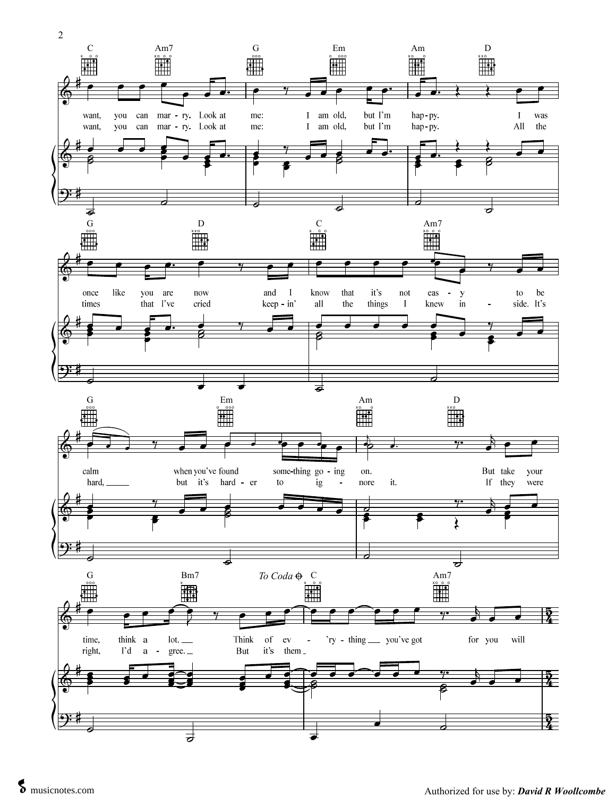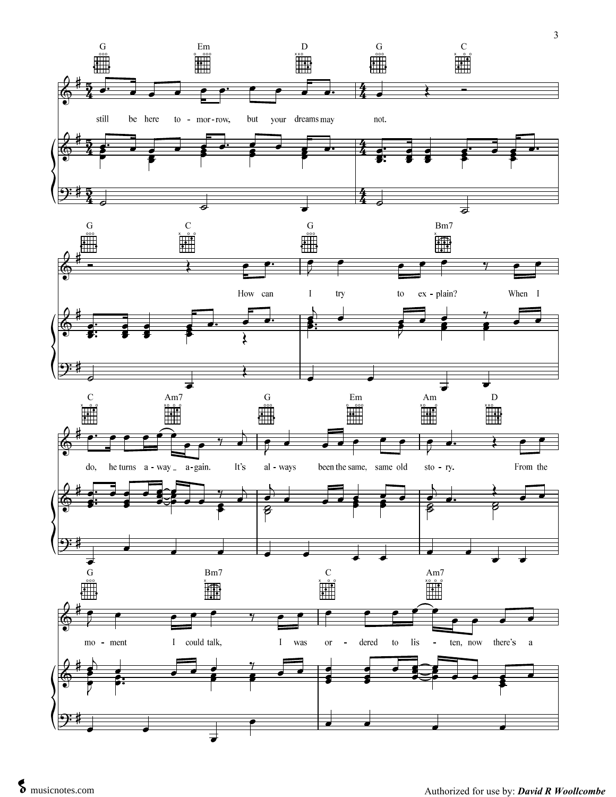